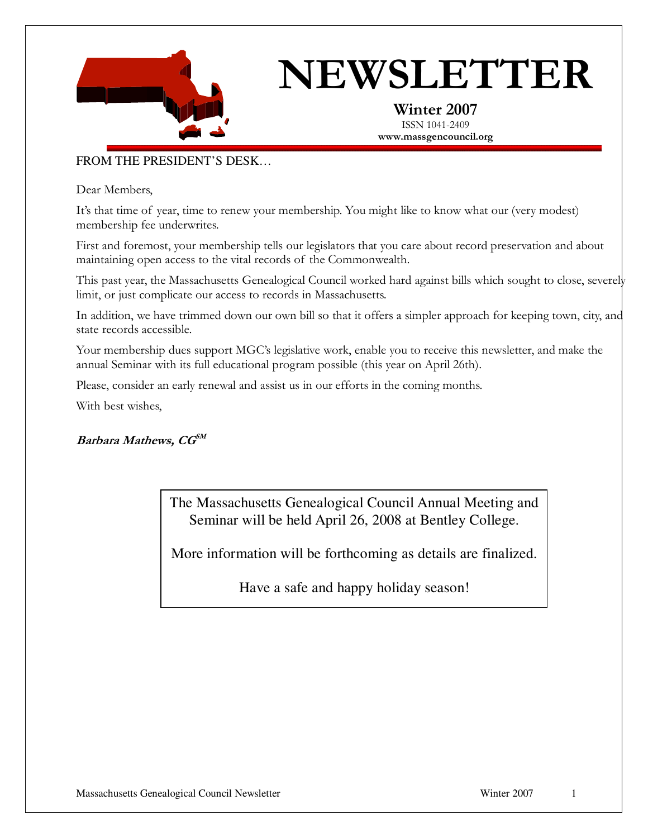

# NEWSLETTER

Winter 2007 ISSN 1041-2409 www.massgencouncil.org

### FROM THE PRESIDENT'S DESK…

Dear Members,

It's that time of year, time to renew your membership. You might like to know what our (very modest) membership fee underwrites.

First and foremost, your membership tells our legislators that you care about record preservation and about maintaining open access to the vital records of the Commonwealth.

This past year, the Massachusetts Genealogical Council worked hard against bills which sought to close, severely limit, or just complicate our access to records in Massachusetts.

In addition, we have trimmed down our own bill so that it offers a simpler approach for keeping town, city, and state records accessible.

Your membership dues support MGC's legislative work, enable you to receive this newsletter, and make the annual Seminar with its full educational program possible (this year on April 26th).

Please, consider an early renewal and assist us in our efforts in the coming months.

With best wishes,

Barbara Mathews,  $\textit{CG}^{\textit{SM}}$ 

The Massachusetts Genealogical Council Annual Meeting and Seminar will be held April 26, 2008 at Bentley College.

More information will be forthcoming as details are finalized.

Have a safe and happy holiday season!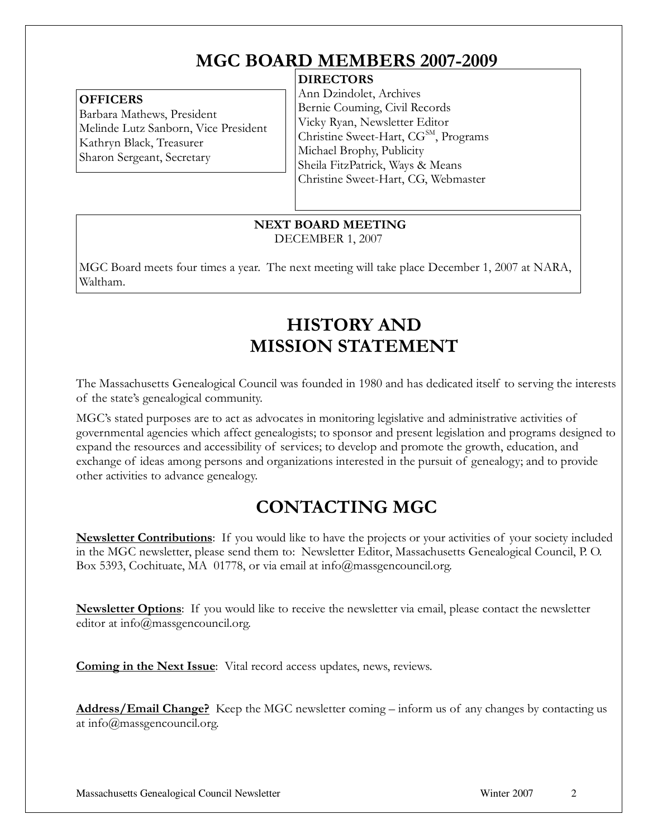# MGC BOARD MEMBERS 2007-2009

## **DIRECTORS**

#### **OFFICERS**

Barbara Mathews, President Melinde Lutz Sanborn, Vice President Kathryn Black, Treasurer Sharon Sergeant, Secretary

Ann Dzindolet, Archives Bernie Couming, Civil Records Vicky Ryan, Newsletter Editor Christine Sweet-Hart, CG<sup>SM</sup>, Programs Michael Brophy, Publicity Sheila FitzPatrick, Ways & Means Christine Sweet-Hart, CG, Webmaster

 NEXT BOARD MEETING DECEMBER 1, 2007

MGC Board meets four times a year. The next meeting will take place December 1, 2007 at NARA, Waltham.

# HISTORY AND MISSION STATEMENT

The Massachusetts Genealogical Council was founded in 1980 and has dedicated itself to serving the interests of the state's genealogical community.

MGC's stated purposes are to act as advocates in monitoring legislative and administrative activities of governmental agencies which affect genealogists; to sponsor and present legislation and programs designed to expand the resources and accessibility of services; to develop and promote the growth, education, and exchange of ideas among persons and organizations interested in the pursuit of genealogy; and to provide other activities to advance genealogy.

# CONTACTING MGC

**Newsletter Contributions**: If you would like to have the projects or your activities of your society included in the MGC newsletter, please send them to: Newsletter Editor, Massachusetts Genealogical Council, P. O. Box 5393, Cochituate, MA 01778, or via email at info@massgencouncil.org.

**Newsletter Options**: If you would like to receive the newsletter via email, please contact the newsletter editor at info@massgencouncil.org.

Coming in the Next Issue: Vital record access updates, news, reviews.

Address/Email Change? Keep the MGC newsletter coming – inform us of any changes by contacting us at info@massgencouncil.org.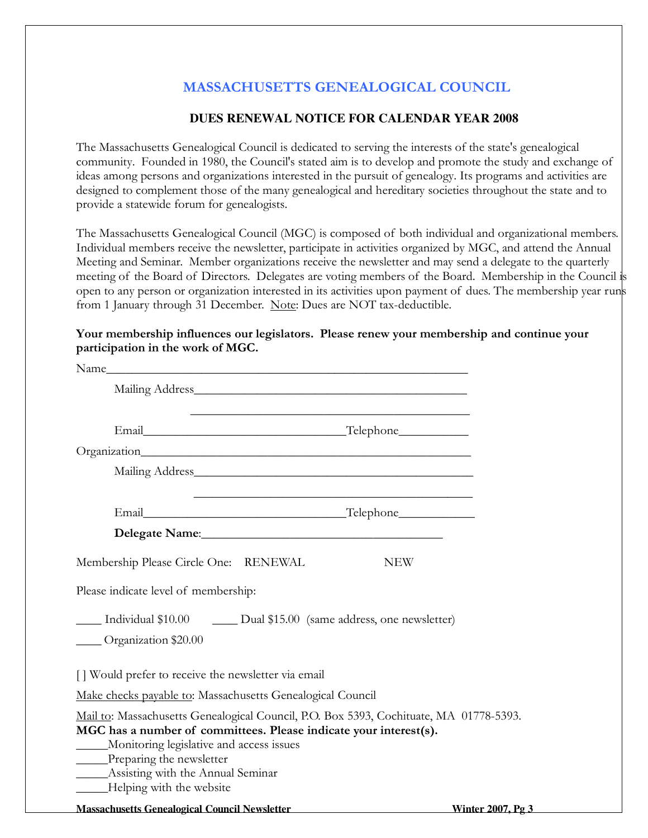# MASSACHUSETTS GENEALOGICAL COUNCIL

## **DUES RENEWAL NOTICE FOR CALENDAR YEAR 2008**

The Massachusetts Genealogical Council is dedicated to serving the interests of the state's genealogical community. Founded in 1980, the Council's stated aim is to develop and promote the study and exchange of ideas among persons and organizations interested in the pursuit of genealogy. Its programs and activities are designed to complement those of the many genealogical and hereditary societies throughout the state and to provide a statewide forum for genealogists.

The Massachusetts Genealogical Council (MGC) is composed of both individual and organizational members. Individual members receive the newsletter, participate in activities organized by MGC, and attend the Annual Meeting and Seminar. Member organizations receive the newsletter and may send a delegate to the quarterly meeting of the Board of Directors. Delegates are voting members of the Board. Membership in the Council is open to any person or organization interested in its activities upon payment of dues. The membership year runs from 1 January through 31 December. Note: Dues are NOT tax-deductible.

#### Your membership influences our legislators. Please renew your membership and continue your participation in the work of MGC.

| Mailing Address National Address National Address                                                                                                                                                                                                                                                              |                          |
|----------------------------------------------------------------------------------------------------------------------------------------------------------------------------------------------------------------------------------------------------------------------------------------------------------------|--------------------------|
|                                                                                                                                                                                                                                                                                                                |                          |
|                                                                                                                                                                                                                                                                                                                |                          |
| Mailing Address and the contract of the contract of the contract of the contract of the contract of the contract of the contract of the contract of the contract of the contract of the contract of the contract of the contra                                                                                 |                          |
|                                                                                                                                                                                                                                                                                                                |                          |
| Delegate Name: Manual Manual Manual Manual Manual Manual Manual Manual Manual Manual Manual Manual Manual Manua                                                                                                                                                                                                |                          |
| Membership Please Circle One: RENEWAL<br><b>NEW</b><br>Please indicate level of membership:                                                                                                                                                                                                                    |                          |
| Individual \$10.00 Dual \$15.00 (same address, one newsletter)<br>Organization \$20.00                                                                                                                                                                                                                         |                          |
| [] Would prefer to receive the newsletter via email                                                                                                                                                                                                                                                            |                          |
| Make checks payable to: Massachusetts Genealogical Council                                                                                                                                                                                                                                                     |                          |
| Mail to: Massachusetts Genealogical Council, P.O. Box 5393, Cochituate, MA 01778-5393.<br>MGC has a number of committees. Please indicate your interest(s).<br>Monitoring legislative and access issues<br>____Preparing the newsletter<br>______Assisting with the Annual Seminar<br>Helping with the website |                          |
| <b>Massachusetts Genealogical Council Newsletter</b>                                                                                                                                                                                                                                                           | <b>Winter 2007, Pg 3</b> |